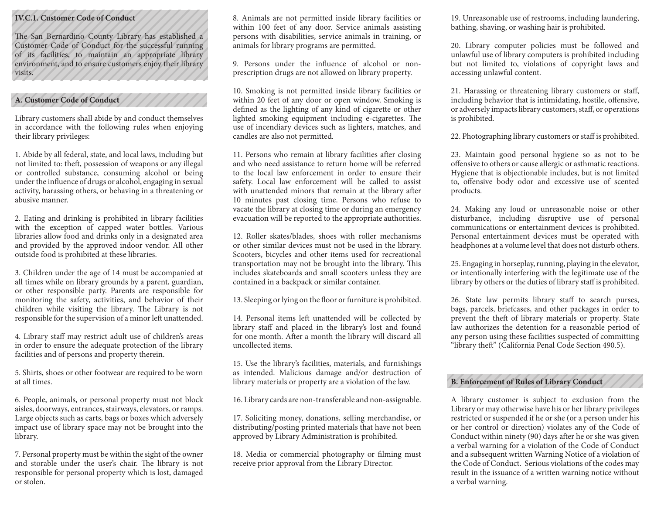#### **IV.C.1. Customer Code of Conduct**

The San Bernardino County Library has established a Customer Code of Conduct for the successful running of its facilities, to maintain an appropriate library environment, and to ensure customers enjoy their library visits.

## **A. Customer Code of Conduct**

Library customers shall abide by and conduct themselves in accordance with the following rules when enjoying their library privileges:

1. Abide by all federal, state, and local laws, including but not limited to: theft, possession of weapons or any illegal or controlled substance, consuming alcohol or being under the influence of drugs or alcohol, engaging in sexual activity, harassing others, or behaving in a threatening or abusive manner.

2. Eating and drinking is prohibited in library facilities with the exception of capped water bottles. Various libraries allow food and drinks only in a designated area and provided by the approved indoor vendor. All other outside food is prohibited at these libraries.

3. Children under the age of 14 must be accompanied at all times while on library grounds by a parent, guardian, or other responsible party. Parents are responsible for monitoring the safety, activities, and behavior of their children while visiting the library. The Library is not responsible for the supervision of a minor left unattended.

4. Library staff may restrict adult use of children's areas in order to ensure the adequate protection of the library facilities and of persons and property therein.

5. Shirts, shoes or other footwear are required to be worn at all times.

6. People, animals, or personal property must not block aisles, doorways, entrances, stairways, elevators, or ramps. Large objects such as carts, bags or boxes which adversely impact use of library space may not be brought into the library.

7. Personal property must be within the sight of the owner and storable under the user's chair. The library is not responsible for personal property which is lost, damaged or stolen.

8. Animals are not permitted inside library facilities or within 100 feet of any door. Service animals assisting persons with disabilities, service animals in training, or animals for library programs are permitted.

9. Persons under the influence of alcohol or nonprescription drugs are not allowed on library property.

10. Smoking is not permitted inside library facilities or within 20 feet of any door or open window. Smoking is defined as the lighting of any kind of cigarette or other lighted smoking equipment including e-cigarettes. The use of incendiary devices such as lighters, matches, and candles are also not permitted.

11. Persons who remain at library facilities after closing and who need assistance to return home will be referred to the local law enforcement in order to ensure their safety. Local law enforcement will be called to assist with unattended minors that remain at the library after 10 minutes past closing time. Persons who refuse to vacate the library at closing time or during an emergency evacuation will be reported to the appropriate authorities.

12. Roller skates/blades, shoes with roller mechanisms or other similar devices must not be used in the library. Scooters, bicycles and other items used for recreational transportation may not be brought into the library. This includes skateboards and small scooters unless they are contained in a backpack or similar container.

13. Sleeping or lying on the floor or furniture is prohibited.

14. Personal items left unattended will be collected by library staff and placed in the library's lost and found for one month. After a month the library will discard all uncollected items.

15. Use the library's facilities, materials, and furnishings as intended. Malicious damage and/or destruction of library materials or property are a violation of the law.

16. Library cards are non-transferable and non-assignable.

17. Soliciting money, donations, selling merchandise, or distributing/posting printed materials that have not been approved by Library Administration is prohibited.

18. Media or commercial photography or filming must receive prior approval from the Library Director.

19. Unreasonable use of restrooms, including laundering, bathing, shaving, or washing hair is prohibited.

20. Library computer policies must be followed and unlawful use of library computers is prohibited including but not limited to, violations of copyright laws and accessing unlawful content.

21. Harassing or threatening library customers or staff, including behavior that is intimidating, hostile, offensive, or adversely impacts library customers, staff, or operations is prohibited.

22. Photographing library customers or staff is prohibited.

23. Maintain good personal hygiene so as not to be offensive to others or cause allergic or asthmatic reactions. Hygiene that is objectionable includes, but is not limited to, offensive body odor and excessive use of scented products.

24. Making any loud or unreasonable noise or other disturbance, including disruptive use of personal communications or entertainment devices is prohibited. Personal entertainment devices must be operated with headphones at a volume level that does not disturb others.

25. Engaging in horseplay, running, playing in the elevator, or intentionally interfering with the legitimate use of the library by others or the duties of library staff is prohibited.

26. State law permits library staff to search purses, bags, parcels, briefcases, and other packages in order to prevent the theft of library materials or property. State law authorizes the detention for a reasonable period of any person using these facilities suspected of committing "library theft" (California Penal Code Section 490.5).

# **B. Enforcement of Rules of Library Conduct**

A library customer is subject to exclusion from the Library or may otherwise have his or her library privileges restricted or suspended if he or she (or a person under his or her control or direction) violates any of the Code of Conduct within ninety (90) days after he or she was given a verbal warning for a violation of the Code of Conduct and a subsequent written Warning Notice of a violation of the Code of Conduct. Serious violations of the codes may result in the issuance of a written warning notice without a verbal warning.